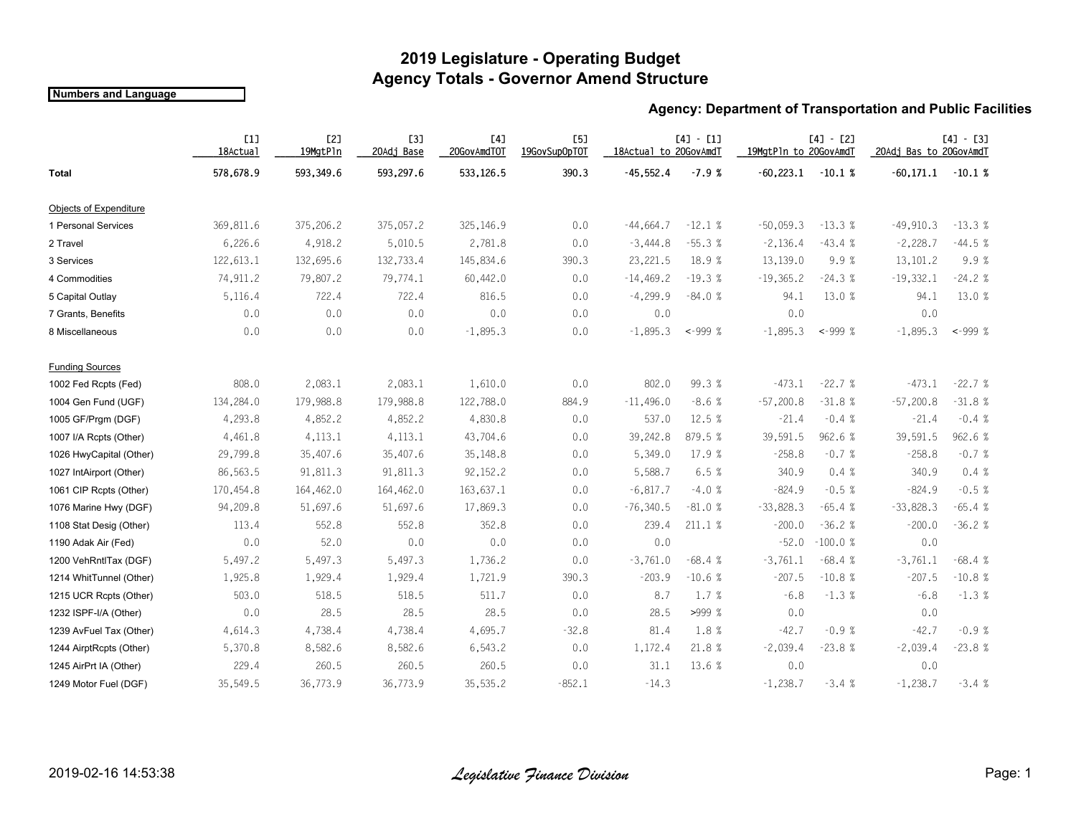## **2019 Legislature - Operating Budget Agency Totals - Governor Amend Structure**

#### **Numbers and Language**

### **Agency: Department of Transportation and Public Facilities**

|                         | [1]<br>18Actual | [2]<br>19MgtPln | <b>[3]</b><br>20Adj Base | [4]<br>20GovAmdT0T | [5]<br>19GovSupOpTOT | $[4] - [1]$<br>18Actual to 20GovAmdT |               | $[4] - [2]$<br>19MgtPln to 20GovAmdT |             | $[4] - [3]$<br>20Adj Bas to 20GovAmdT |           |
|-------------------------|-----------------|-----------------|--------------------------|--------------------|----------------------|--------------------------------------|---------------|--------------------------------------|-------------|---------------------------------------|-----------|
| <b>Total</b>            | 578,678.9       | 593,349.6       | 593,297.6                | 533,126.5          | 390.3                | $-45,552.4$                          | $-7.9%$       | $-60,223.1$                          | $-10.1%$    | $-60, 171.1$                          | $-10.1%$  |
| Objects of Expenditure  |                 |                 |                          |                    |                      |                                      |               |                                      |             |                                       |           |
| 1 Personal Services     | 369,811.6       | 375,206.2       | 375,057.2                | 325, 146.9         | 0.0                  | $-44,664.7$                          | $-12.1%$      | $-50,059.3$                          | $-13.3%$    | $-49.910.3$                           | $-13.3%$  |
| 2 Travel                | 6,226.6         | 4,918.2         | 5,010.5                  | 2,781.8            | 0.0                  | $-3,444.8$                           | $-55.3%$      | $-2,136.4$                           | $-43.4%$    | $-2,228.7$                            | $-44.5%$  |
| 3 Services              | 122,613.1       | 132,695.6       | 132,733.4                | 145,834.6          | 390.3                | 23,221.5                             | 18.9 %        | 13,139.0                             | 9.9%        | 13,101.2                              | 9.9%      |
| 4 Commodities           | 74,911.2        | 79,807.2        | 79,774.1                 | 60,442.0           | 0.0                  | $-14,469.2$                          | $-19.3%$      | $-19,365.2$                          | $-24.3%$    | $-19,332.1$                           | $-24.2%$  |
| 5 Capital Outlay        | 5,116.4         | 722.4           | 722.4                    | 816.5              | 0.0                  | $-4,299.9$                           | $-84.0%$      | 94.1                                 | 13.0 %      | 94.1                                  | 13.0 %    |
| 7 Grants, Benefits      | 0.0             | 0.0             | 0.0                      | 0.0                | 0.0                  | 0.0                                  |               | 0.0                                  |             | 0.0                                   |           |
| 8 Miscellaneous         | 0.0             | 0.0             | 0.0                      | $-1,895.3$         | 0.0                  | $-1,895.3$                           | $~14 - 999$ % | $-1,895.3$                           | $~14.999$ % | $-1,895.3$                            | $~1099$ % |
| <b>Funding Sources</b>  |                 |                 |                          |                    |                      |                                      |               |                                      |             |                                       |           |
| 1002 Fed Rcpts (Fed)    | 808.0           | 2,083.1         | 2,083.1                  | 1,610.0            | 0.0                  | 802.0                                | 99.3 %        | $-473.1$                             | $-22.7%$    | $-473.1$                              | $-22.7%$  |
| 1004 Gen Fund (UGF)     | 134,284.0       | 179,988.8       | 179,988.8                | 122,788.0          | 884.9                | $-11,496.0$                          | $-8.6%$       | $-57,200.8$                          | $-31.8%$    | $-57,200.8$                           | $-31.8%$  |
| 1005 GF/Prgm (DGF)      | 4,293.8         | 4,852.2         | 4,852.2                  | 4,830.8            | 0.0                  | 537.0                                | 12.5 %        | $-21.4$                              | $-0.4%$     | $-21.4$                               | $-0.4%$   |
| 1007 I/A Rcpts (Other)  | 4,461.8         | 4,113.1         | 4,113.1                  | 43,704.6           | 0.0                  | 39,242.8                             | 879.5 %       | 39,591.5                             | 962.6 %     | 39,591.5                              | 962.6 %   |
| 1026 HwyCapital (Other) | 29,799.8        | 35,407.6        | 35,407.6                 | 35,148.8           | 0.0                  | 5,349.0                              | 17.9 %        | $-258.8$                             | $-0.7%$     | $-258.8$                              | $-0.7%$   |
| 1027 IntAirport (Other) | 86,563.5        | 91,811.3        | 91,811.3                 | 92,152.2           | 0.0                  | 5,588.7                              | 6.5%          | 340.9                                | 0.4%        | 340.9                                 | 0.4%      |
| 1061 CIP Rcpts (Other)  | 170,454.8       | 164,462.0       | 164,462.0                | 163,637.1          | 0.0                  | $-6,817.7$                           | $-4.0%$       | $-824.9$                             | $-0.5%$     | $-824.9$                              | $-0.5%$   |
| 1076 Marine Hwy (DGF)   | 94,209.8        | 51,697.6        | 51,697.6                 | 17,869.3           | 0.0                  | $-76,340.5$                          | $-81.0%$      | $-33,828.3$                          | $-65.4%$    | $-33,828.3$                           | $-65.4%$  |
| 1108 Stat Desig (Other) | 113.4           | 552.8           | 552.8                    | 352.8              | 0.0                  | 239.4                                | 211.1 %       | $-200.0$                             | $-36.2%$    | $-200.0$                              | $-36.2%$  |
| 1190 Adak Air (Fed)     | 0.0             | 52.0            | 0.0                      | 0.0                | 0.0                  | 0.0                                  |               | $-52.0$                              | $-100.0%$   | 0.0                                   |           |
| 1200 VehRntlTax (DGF)   | 5,497.2         | 5,497.3         | 5.497.3                  | 1.736.2            | 0.0                  | $-3,761.0$                           | $-68.4%$      | $-3,761,1$                           | $-68.4%$    | $-3,761.1$                            | $-68.4%$  |
| 1214 WhitTunnel (Other) | 1,925.8         | 1,929.4         | 1,929.4                  | 1,721.9            | 390.3                | $-203.9$                             | $-10.6%$      | $-207.5$                             | $-10.8%$    | $-207.5$                              | $-10.8%$  |
| 1215 UCR Rcpts (Other)  | 503.0           | 518.5           | 518.5                    | 511.7              | 0.0                  | 8.7                                  | 1.7 %         | $-6.8$                               | $-1.3%$     | $-6.8$                                | $-1.3%$   |
| 1232 ISPF-I/A (Other)   | 0.0             | 28.5            | 28.5                     | 28.5               | 0.0                  | 28.5                                 | >999 %        | 0.0                                  |             | 0.0                                   |           |
| 1239 AvFuel Tax (Other) | 4,614.3         | 4,738.4         | 4,738.4                  | 4,695.7            | $-32.8$              | 81.4                                 | 1.8 %         | $-42.7$                              | $-0.9%$     | $-42.7$                               | $-0.9%$   |
| 1244 AirptRcpts (Other) | 5,370.8         | 8,582.6         | 8,582.6                  | 6,543.2            | 0.0                  | 1,172.4                              | 21.8 %        | $-2,039.4$                           | $-23.8%$    | $-2,039.4$                            | $-23.8%$  |
| 1245 AirPrt IA (Other)  | 229.4           | 260.5           | 260.5                    | 260.5              | 0.0                  | 31.1                                 | 13.6 %        | 0.0                                  |             | 0.0                                   |           |
| 1249 Motor Fuel (DGF)   | 35,549.5        | 36,773.9        | 36,773.9                 | 35,535.2           | $-852.1$             | $-14.3$                              |               | $-1,238.7$                           | $-3.4%$     | $-1,238.7$                            | $-3.4%$   |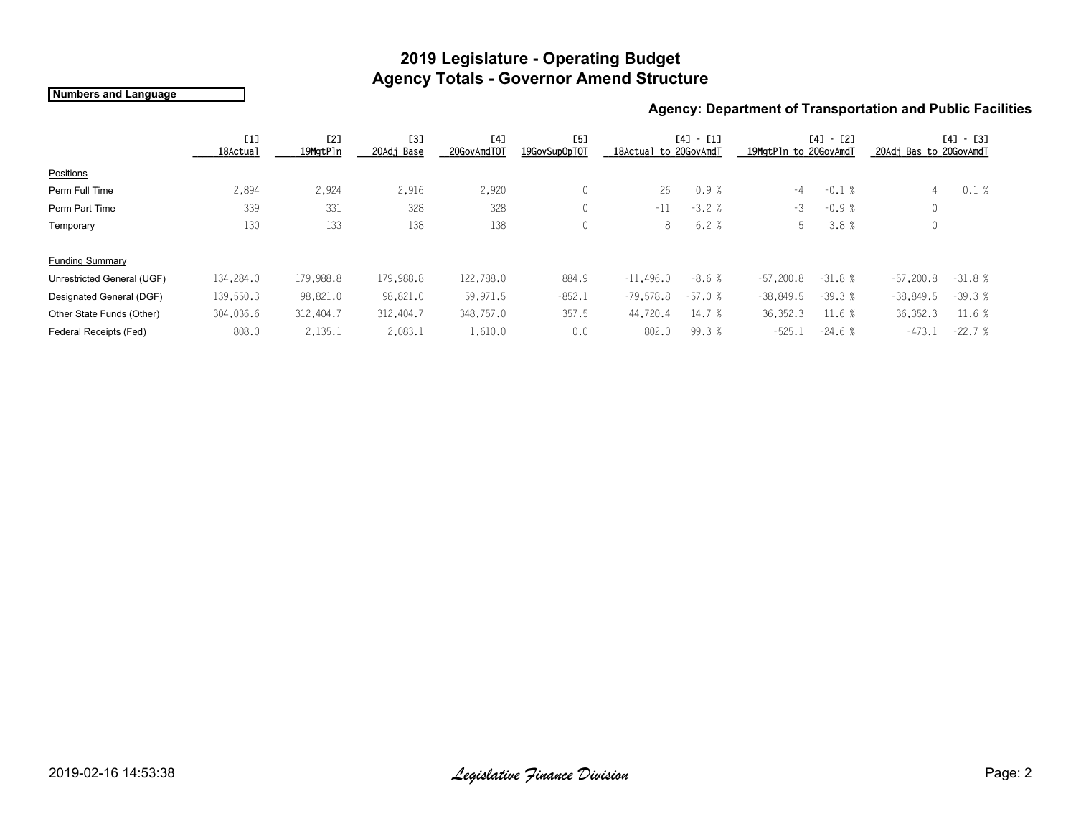## **2019 Legislature - Operating Budget Agency Totals - Governor Amend Structure**

#### **Numbers and Language**

### **Agency: Department of Transportation and Public Facilities**

|                            | [1]<br>18Actual | [2]<br>19MgtPln | <b>[3]</b><br>20Adj Base | [4]<br>20GovAmdT0T | <b>[5]</b><br>19GovSupOpTOT | 18Actual to 20GovAmdT | $[4] - [1]$ | 19MgtPln to 20GovAmdT | [4]<br>$-$ [2] | $[4] - [3]$<br>20Adj Bas to 20GovAmdT |          |
|----------------------------|-----------------|-----------------|--------------------------|--------------------|-----------------------------|-----------------------|-------------|-----------------------|----------------|---------------------------------------|----------|
| Positions                  |                 |                 |                          |                    |                             |                       |             |                       |                |                                       |          |
| Perm Full Time             | 2,894           | 2,924           | 2,916                    | 2,920              | 0                           | 26                    | 0.9%        | $-4$                  | $-0.1%$        | 4                                     | 0.1%     |
| Perm Part Time             | 339             | 331             | 328                      | 328                | $\mathbf{0}$                | $-11$                 | $-3.2%$     | -3                    | $-0.9%$        | 0                                     |          |
| Temporary                  | 130             | 133             | 138                      | 138                | $\mathbf{0}$                | 8                     | 6.2%        | b.                    | 3.8%           | $\mathbf{0}$                          |          |
| <b>Funding Summary</b>     |                 |                 |                          |                    |                             |                       |             |                       |                |                                       |          |
| Unrestricted General (UGF) | 134,284.0       | 179,988.8       | 179,988.8                | 122,788.0          | 884.9                       | $-11,496.0$           | $-8.6%$     | $-57,200.8$           | $-31.8%$       | $-57,200.8$                           | $-31.8%$ |
| Designated General (DGF)   | 139,550.3       | 98,821.0        | 98,821.0                 | 59,971.5           | $-852.1$                    | $-79,578.8$           | $-57.0%$    | $-38,849.5$           | $-39.3%$       | $-38,849.5$                           | $-39.3%$ |
| Other State Funds (Other)  | 304,036.6       | 312,404.7       | 312,404.7                | 348,757.0          | 357.5                       | 44,720.4              | 14.7 %      | 36, 352. 3            | 11.6 %         | 36,352.3                              | 11.6 %   |
| Federal Receipts (Fed)     | 808.0           | 2,135.1         | 2,083.1                  | 1,610.0            | 0.0                         | 802.0                 | 99.3 %      | $-525.1$              | $-24.6%$       | $-473.$                               | $-22.7%$ |